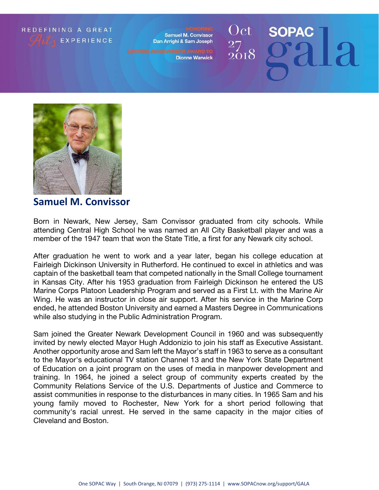## REDEFINING A GREAT **EXPERIENCE**

Samuel M. Convissor Dan Arrighi & Sam Joseph

**Dionne Warwick** 





## **Samuel M. Convissor**

Born in Newark, New Jersey, Sam Convissor graduated from city schools. While attending Central High School he was named an All City Basketball player and was a member of the 1947 team that won the State Title, a first for any Newark city school.

After graduation he went to work and a year later, began his college education at Fairleigh Dickinson University in Rutherford. He continued to excel in athletics and was captain of the basketball team that competed nationally in the Small College tournament in Kansas City. After his 1953 graduation from Fairleigh Dickinson he entered the US Marine Corps Platoon Leadership Program and served as a First Lt. with the Marine Air Wing. He was an instructor in close air support. After his service in the Marine Corp ended, he attended Boston University and earned a Masters Degree in Communications while also studying in the Public Administration Program.

Sam joined the Greater Newark Development Council in 1960 and was subsequently invited by newly elected Mayor Hugh Addonizio to join his staff as Executive Assistant. Another opportunity arose and Sam left the Mayor's staff in 1963 to serve as a consultant to the Mayor's educational TV station Channel 13 and the New York State Department of Education on a joint program on the uses of media in manpower development and training. In 1964, he joined a select group of community experts created by the Community Relations Service of the U.S. Departments of Justice and Commerce to assist communities in response to the disturbances in many cities. In 1965 Sam and his young family moved to Rochester, New York for a short period following that community's racial unrest. He served in the same capacity in the major cities of Cleveland and Boston.